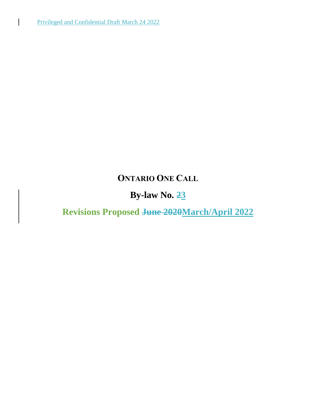# **ONTARIO ONE CALL**

# **By-law No. 23**

**Revisions Proposed June 2020March/April 2022**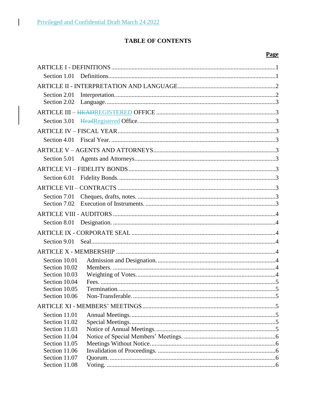$\overline{\phantom{a}}$ 

# **TABLE OF CONTENTS**

# **Page**

| Section 1.01  |  |
|---------------|--|
|               |  |
| Section 2.01  |  |
| Section 2.02  |  |
|               |  |
| Section 3.01  |  |
|               |  |
| Section 4.01  |  |
|               |  |
| Section 5.01  |  |
|               |  |
| Section 6.01  |  |
|               |  |
| Section 7.01  |  |
| Section 7.02  |  |
|               |  |
| Section 8.01  |  |
|               |  |
| Section 9.01  |  |
|               |  |
| Section 10.01 |  |
| Section 10.02 |  |
| Section 10.03 |  |
| Section 10.04 |  |
| Section 10.05 |  |
| Section 10.06 |  |
|               |  |
| Section 11.01 |  |
| Section 11.02 |  |
| Section 11.03 |  |
| Section 11.04 |  |
| Section 11.05 |  |
| Section 11.06 |  |
| Section 11.07 |  |
| Section 11.08 |  |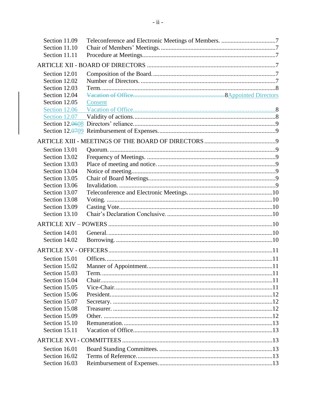| Section 11.09 |         |  |
|---------------|---------|--|
| Section 11.10 |         |  |
| Section 11.11 |         |  |
|               |         |  |
| Section 12.01 |         |  |
| Section 12.02 |         |  |
| Section 12.03 |         |  |
| Section 12.04 |         |  |
| Section 12.05 | Consent |  |
| Section 12.06 |         |  |
|               |         |  |
|               |         |  |
|               |         |  |
|               |         |  |
| Section 13.01 |         |  |
| Section 13.02 |         |  |
| Section 13.03 |         |  |
| Section 13.04 |         |  |
| Section 13.05 |         |  |
| Section 13.06 |         |  |
| Section 13.07 |         |  |
| Section 13.08 |         |  |
| Section 13.09 |         |  |
| Section 13.10 |         |  |
|               |         |  |
| Section 14.01 |         |  |
| Section 14.02 |         |  |
|               |         |  |
| Section 15.01 |         |  |
| Section 15.02 |         |  |
| Section 15.03 |         |  |
| Section 15.04 |         |  |
| Section 15.05 |         |  |
| Section 15.06 |         |  |
| Section 15.07 |         |  |
| Section 15.08 |         |  |
| Section 15.09 |         |  |
| Section 15.10 |         |  |
| Section 15.11 |         |  |
|               |         |  |
| Section 16.01 |         |  |
| Section 16.02 |         |  |
| Section 16.03 |         |  |
|               |         |  |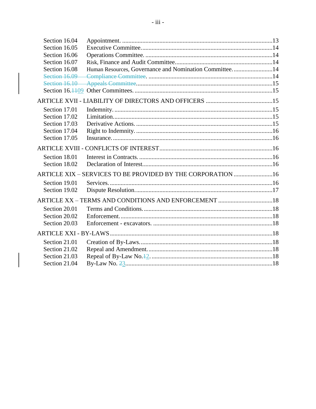| Section 16.04 |                                                              |  |
|---------------|--------------------------------------------------------------|--|
| Section 16.05 |                                                              |  |
| Section 16.06 |                                                              |  |
| Section 16.07 |                                                              |  |
| Section 16.08 | Human Resources, Governance and Nomination Committee14       |  |
|               |                                                              |  |
|               |                                                              |  |
|               |                                                              |  |
|               |                                                              |  |
| Section 17.01 |                                                              |  |
| Section 17.02 |                                                              |  |
| Section 17.03 |                                                              |  |
| Section 17.04 |                                                              |  |
| Section 17.05 |                                                              |  |
|               |                                                              |  |
| Section 18.01 |                                                              |  |
| Section 18.02 |                                                              |  |
|               | ARTICLE XIX - SERVICES TO BE PROVIDED BY THE CORPORATION  16 |  |
| Section 19.01 |                                                              |  |
| Section 19.02 |                                                              |  |
|               | ARTICLE XX - TERMS AND CONDITIONS AND ENFORCEMENT 18         |  |
| Section 20.01 |                                                              |  |
| Section 20.02 |                                                              |  |
| Section 20.03 |                                                              |  |
|               |                                                              |  |
| Section 21.01 |                                                              |  |
| Section 21.02 |                                                              |  |
| Section 21.03 |                                                              |  |
| Section 21.04 |                                                              |  |
|               |                                                              |  |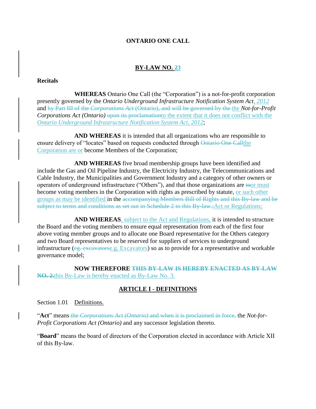#### **ONTARIO ONE CALL**

#### **BY-LAW NO. 23**

#### **Recitals**

**WHEREAS** Ontario One Call (the "Corporation") is a not-for-profit corporation presently governed by the *Ontario Underground Infrastructure Notification System Act, 2012* and by Part III of the *Corporations Act* (Ontario), and will be governed by the the *Not-for-Profit Corporations Act (Ontario)* upon its proclamation to the extent that it does not conflict with the *Ontario Underground Infrastructure Notification System Act, 2012*;

**AND WHEREAS** it is intended that all organizations who are responsible to ensure delivery of "locates" based on requests conducted through Ontario One Callthe Corporation are or become Members of the Corporation;

**AND WHEREAS** five broad membership groups have been identified and include the Gas and Oil Pipeline Industry, the Electricity Industry, the Telecommunications and Cable Industry, the Municipalities and Government Industry and a category of other owners or operators of underground infrastructure ("Others"), and that those organizations are toor must become voting members in the Corporation with rights as prescribed by statute, or such other groups as may be identified in the accompanying Members Bill of Rights and this By-law and be subject to terms and conditions as set out in Schedule 2 to this By-law.;Act or Regulations;

**AND WHEREAS**, subject to the Act and Regulations, it is intended to structure the Board and the voting members to ensure equal representation from each of the first four above voting member groups and to allocate one Board representative for the Others category and two Board representatives to be reserved for suppliers of services to underground infrastructure (eg. excavatorse.g. Excavators) so as to provide for a representative and workable governance model;

**NOW THEREFORE THIS BY-LAW IS HEREBY ENACTED AS BY-LAW NO. 2.**this By-Law is hereby enacted as By-Law No. 3.

#### **ARTICLE I - DEFINITIONS**

Section 1.01 Definitions.

"**Act**" means the *Corporations Act (Ontario)* and when it is proclaimed in force, the *Not-for-Profit Corporations Act (Ontario)* and any successor legislation thereto.

"**Board**" means the board of directors of the Corporation elected in accordance with Article XII of this By-law.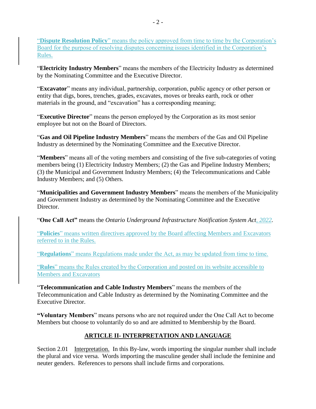"**Dispute Resolution Policy**" means the policy approved from time to time by the Corporation's Board for the purpose of resolving disputes concerning issues identified in the Corporation's Rules.

"**Electricity Industry Members**" means the members of the Electricity Industry as determined by the Nominating Committee and the Executive Director.

"**Excavator**" means any individual, partnership, corporation, public agency or other person or entity that digs, bores, trenches, grades, excavates, moves or breaks earth, rock or other materials in the ground, and "excavation" has a corresponding meaning;

"**Executive Director**" means the person employed by the Corporation as its most senior employee but not on the Board of Directors.

"**Gas and Oil Pipeline Industry Members**" means the members of the Gas and Oil Pipeline Industry as determined by the Nominating Committee and the Executive Director.

"**Members**" means all of the voting members and consisting of the five sub-categories of voting members being (1) Electricity Industry Members; (2) the Gas and Pipeline Industry Members; (3) the Municipal and Government Industry Members; (4) the Telecommunications and Cable Industry Members; and (5) Others.

"**Municipalities and Government Industry Members**" means the members of the Municipality and Government Industry as determined by the Nominating Committee and the Executive Director.

"**One Call Act"** means the *Ontario Underground Infrastructure Notification System Act, 2022.*

"**Policies**" means written directives approved by the Board affecting Members and Excavators referred to in the Rules.

"**Regulations**" means Regulations made under the Act, as may be updated from time to time.

"**Rules**" means the Rules created by the Corporation and posted on its website accessible to Members and Excavators

"**Telecommunication and Cable Industry Members**" means the members of the Telecommunication and Cable Industry as determined by the Nominating Committee and the Executive Director.

**"Voluntary Members**" means persons who are not required under the One Call Act to become Members but choose to voluntarily do so and are admitted to Membership by the Board.

# **ARTICLE II- INTERPRETATION AND LANGUAGE**

Section 2.01 Interpretation. In this By-law, words importing the singular number shall include the plural and vice versa. Words importing the masculine gender shall include the feminine and neuter genders. References to persons shall include firms and corporations.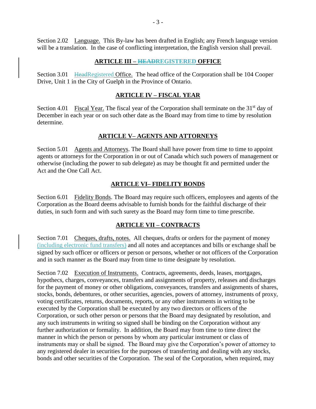Section 2.02 Language. This By-law has been drafted in English; any French language version will be a translation. In the case of conflicting interpretation, the English version shall prevail.

#### **ARTICLE III – HEADREGISTERED OFFICE**

Section 3.01 HeadRegistered Office. The head office of the Corporation shall be 104 Cooper Drive, Unit 1 in the City of Guelph in the Province of Ontario.

### **ARTICLE IV – FISCAL YEAR**

Section 4.01 Fiscal Year. The fiscal year of the Corporation shall terminate on the  $31<sup>st</sup>$  day of December in each year or on such other date as the Board may from time to time by resolution determine.

#### **ARTICLE V– AGENTS AND ATTORNEYS**

Section 5.01 Agents and Attorneys. The Board shall have power from time to time to appoint agents or attorneys for the Corporation in or out of Canada which such powers of management or otherwise (including the power to sub delegate) as may be thought fit and permitted under the Act and the One Call Act.

#### **ARTICLE VI– FIDELITY BONDS**

Section 6.01 Fidelity Bonds. The Board may require such officers, employees and agents of the Corporation as the Board deems advisable to furnish bonds for the faithful discharge of their duties, in such form and with such surety as the Board may form time to time prescribe.

#### **ARTICLE VII – CONTRACTS**

Section 7.01 Cheques, drafts, notes. All cheques, drafts or orders for the payment of money (including electronic fund transfers) and all notes and acceptances and bills or exchange shall be signed by such officer or officers or person or persons, whether or not officers of the Corporation and in such manner as the Board may from time to time designate by resolution.

Section 7.02 Execution of Instruments. Contracts, agreements, deeds, leases, mortgages, hypothecs, charges, conveyances, transfers and assignments of property, releases and discharges for the payment of money or other obligations, conveyances, transfers and assignments of shares, stocks, bonds, debentures, or other securities, agencies, powers of attorney, instruments of proxy, voting certificates, returns, documents, reports, or any other instruments in writing to be executed by the Corporation shall be executed by any two directors or officers of the Corporation, or such other person or persons that the Board may designated by resolution, and any such instruments in writing so signed shall be binding on the Corporation without any further authorization or formality. In addition, the Board may from time to time direct the manner in which the person or persons by whom any particular instrument or class of instruments may or shall be signed. The Board may give the Corporation's power of attorney to any registered dealer in securities for the purposes of transferring and dealing with any stocks, bonds and other securities of the Corporation. The seal of the Corporation, when required, may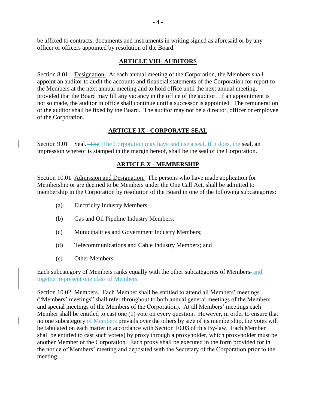be affixed to contracts, documents and instruments in writing signed as aforesaid or by any officer or officers appointed by resolution of the Board.

#### **ARTICLE VIII- AUDITORS**

Section 8.01 Designation. At each annual meeting of the Corporation, the Members shall appoint an auditor to audit the accounts and financial statements of the Corporation for report to the Members at the next annual meeting and to hold office until the next annual meeting, provided that the Board may fill any vacancy in the office of the auditor. If an appointment is not so made, the auditor in office shall continue until a successor is appointed. The remuneration of the auditor shall be fixed by the Board. The auditor may not be a director, officer or employee of the Corporation.

### **ARTICLE IX - CORPORATE SEAL**

Section 9.01 Seal. The The Corporation may have and use a seal. If it does, the seal, an impression whereof is stamped in the margin hereof, shall be the seal of the Corporation.

### **ARTICLE X - MEMBERSHIP**

Section 10.01 Admission and Designation. The persons who have made application for Membership or are deemed to be Members under the One Call Act, shall be admitted to membership in the Corporation by resolution of the Board in one of the following subcategories:

- (a) Electricity Industry Members;
- (b) Gas and Oil Pipeline Industry Members;
- (c) Municipalities and Government Industry Members;
- (d) Telecommunications and Cable Industry Members; and
- (e) Other Members.

Each subcategory of Members ranks equally with the other subcategories of Members. and together represent one class of Members.

Section 10.02 Members. Each Member shall be entitled to attend all Members' meetings ("Members' meetings" shall refer throughout to both annual general meetings of the Members and special meetings of the Members of the Corporation). At all Members' meetings each Member shall be entitled to cast one (1) vote on every question. However, in order to ensure that no one subcategory of Members prevails over the others by size of its membership, the votes will be tabulated on each matter in accordance with Section 10.03 of this By-law. Each Member shall be entitled to cast such vote(s) by proxy through a proxyholder, which proxyholder must be another Member of the Corporation. Each proxy shall be executed in the form provided for in the notice of Members' meeting and deposited with the Secretary of the Corporation prior to the meeting.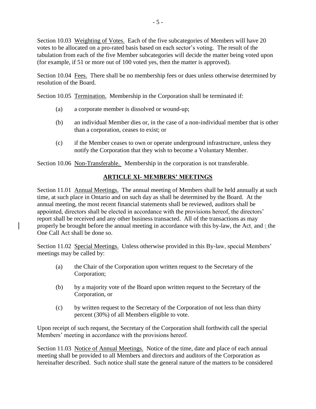Section 10.03 Weighting of Votes. Each of the five subcategories of Members will have 20 votes to be allocated on a pro-rated basis based on each sector's voting. The result of the tabulation from each of the five Member subcategories will decide the matter being voted upon (for example, if 51 or more out of 100 voted yes, then the matter is approved).

Section 10.04 Fees. There shall be no membership fees or dues unless otherwise determined by resolution of the Board.

Section 10.05 Termination. Membership in the Corporation shall be terminated if:

- (a) a corporate member is dissolved or wound-up;
- (b) an individual Member dies or, in the case of a non-individual member that is other than a corporation, ceases to exist; or
- (c) if the Member ceases to own or operate underground infrastructure, unless they notify the Corporation that they wish to become a Voluntary Member.

Section 10.06 Non-Transferable. Membership in the corporation is not transferable.

## **ARTICLE XI- MEMBERS' MEETINGS**

Section 11.01 Annual Meetings. The annual meeting of Members shall be held annually at such time, at such place in Ontario and on such day as shall be determined by the Board. At the annual meeting, the most recent financial statements shall be reviewed, auditors shall be appointed, directors shall be elected in accordance with the provisions hereof, the directors' report shall be received and any other business transacted. All of the transactions as may properly be brought before the annual meeting in accordance with this by-law, the Act, and t the One Call Act shall be done so.

Section 11.02 Special Meetings. Unless otherwise provided in this By-law, special Members' meetings may be called by:

- (a) the Chair of the Corporation upon written request to the Secretary of the Corporation;
- (b) by a majority vote of the Board upon written request to the Secretary of the Corporation, or
- (c) by written request to the Secretary of the Corporation of not less than thirty percent (30%) of all Members eligible to vote.

Upon receipt of such request, the Secretary of the Corporation shall forthwith call the special Members' meeting in accordance with the provisions hereof.

Section 11.03 Notice of Annual Meetings. Notice of the time, date and place of each annual meeting shall be provided to all Members and directors and auditors of the Corporation as hereinafter described. Such notice shall state the general nature of the matters to be considered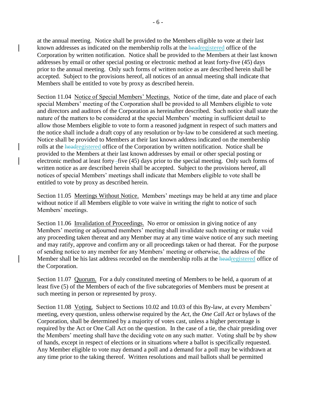at the annual meeting. Notice shall be provided to the Members eligible to vote at their last known addresses as indicated on the membership rolls at the headregistered office of the Corporation by written notification. Notice shall be provided to the Members at their last known addresses by email or other special posting or electronic method at least forty-five (45) days prior to the annual meeting. Only such forms of written notice as are described herein shall be accepted. Subject to the provisions hereof, all notices of an annual meeting shall indicate that Members shall be entitled to vote by proxy as described herein.

Section 11.04 Notice of Special Members' Meetings. Notice of the time, date and place of each special Members' meeting of the Corporation shall be provided to all Members eligible to vote and directors and auditors of the Corporation as hereinafter described. Such notice shall state the nature of the matters to be considered at the special Members' meeting in sufficient detail to allow those Members eligible to vote to form a reasoned judgment in respect of such matters and the notice shall include a draft copy of any resolution or by-law to be considered at such meeting. Notice shall be provided to Members at their last known address indicated on the membership rolls at the headregistered office of the Corporation by written notification. Notice shall be provided to the Members at their last known addresses by email or other special posting or electronic method at least forty-five (45) days prior to the special meeting. Only such forms of written notice as are described herein shall be accepted. Subject to the provisions hereof, all notices of special Members' meetings shall indicate that Members eligible to vote shall be entitled to vote by proxy as described herein.

Section 11.05 Meetings Without Notice. Members' meetings may be held at any time and place without notice if all Members eligible to vote waive in writing the right to notice of such Members' meetings.

Section 11.06 Invalidation of Proceedings. No error or omission in giving notice of any Members' meeting or adjourned members' meeting shall invalidate such meeting or make void any proceeding taken thereat and any Member may at any time waive notice of any such meeting and may ratify, approve and confirm any or all proceedings taken or had thereat. For the purpose of sending notice to any member for any Members' meeting or otherwise, the address of the Member shall be his last address recorded on the membership rolls at the headregistered office of the Corporation.

Section 11.07 Quorum. For a duly constituted meeting of Members to be held, a quorum of at least five (5) of the Members of each of the five subcategories of Members must be present at such meeting in person or represented by proxy.

Section 11.08 Voting. Subject to Sections 10.02 and 10.03 of this By-law, at every Members' meeting, every question, unless otherwise required by the *Act*, the *One Call Act* or bylaws of the Corporation, shall be determined by a majority of votes cast, unless a higher percentage is required by the Act or One Call Act on the question. In the case of a tie, the chair presiding over the Members' meeting shall have the deciding vote on any such matter. Voting shall be by show of hands, except in respect of elections or in situations where a ballot is specifically requested. Any Member eligible to vote may demand a poll and a demand for a poll may be withdrawn at any time prior to the taking thereof. Written resolutions and mail ballots shall be permitted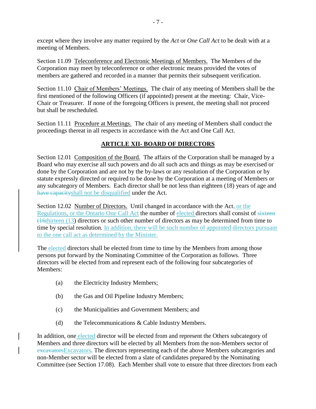except where they involve any matter required by the *Act* or *One Call Act* to be dealt with at a meeting of Members.

Section 11.09 Teleconference and Electronic Meetings of Members. The Members of the Corporation may meet by teleconference or other electronic means provided the votes of members are gathered and recorded in a manner that permits their subsequent verification.

Section 11.10 Chair of Members' Meetings. The chair of any meeting of Members shall be the first mentioned of the following Officers (if appointed) present at the meeting: Chair, Vice-Chair or Treasurer. If none of the foregoing Officers is present, the meeting shall not proceed but shall be rescheduled.

Section 11.11 Procedure at Meetings. The chair of any meeting of Members shall conduct the proceedings thereat in all respects in accordance with the Act and One Call Act.

### **ARTICLE XII- BOARD OF DIRECTORS**

Section 12.01 Composition of the Board. The affairs of the Corporation shall be managed by a Board who may exercise all such powers and do all such acts and things as may be exercised or done by the Corporation and are not by the by-laws or any resolution of the Corporation or by statute expressly directed or required to be done by the Corporation at a meeting of Members or any subcategory of Members. Each director shall be not less than eighteen (18) years of age and have capacityshall not be disqualified under the Act.

Section 12.02 Number of Directors. Until changed in accordance with the Act, or the Regulations, or the Ontario One Call Act the number of elected directors shall consist of sixteen (16thirteen (13) directors or such other number of directors as may be determined from time to time by special resolution. In addition, there will be such number of appointed directors pursuant to the one call act as determined by the Minister.

The elected directors shall be elected from time to time by the Members from among those persons put forward by the Nominating Committee of the Corporation as follows. Three directors will be elected from and represent each of the following four subcategories of Members:

- (a) the Electricity Industry Members;
- (b) the Gas and Oil Pipeline Industry Members;
- (c) the Municipalities and Government Members; and
- (d) the Telecommunications & Cable Industry Members.

In addition, one elected director will be elected from and represent the Others subcategory of Members and three directors will be elected by all Members from the non-Members sector of excavatorsExcavators. The directors representing each of the above Members subcategories and non-Member sector will be elected from a slate of candidates prepared by the Nominating Committee (see Section 17.08). Each Member shall vote to ensure that three directors from each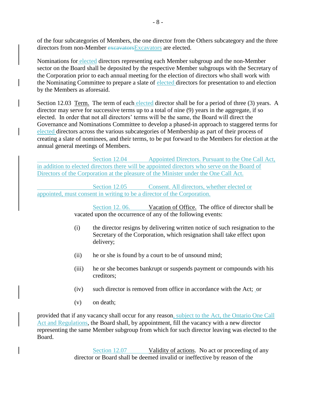of the four subcategories of Members, the one director from the Others subcategory and the three directors from non-Member excavatorsExcavators are elected.

Nominations for elected directors representing each Member subgroup and the non-Member sector on the Board shall be deposited by the respective Member subgroups with the Secretary of the Corporation prior to each annual meeting for the election of directors who shall work with the Nominating Committee to prepare a slate of elected directors for presentation to and election by the Members as aforesaid.

Section 12.03 Term. The term of each elected director shall be for a period of three (3) years. A director may serve for successive terms up to a total of nine (9) years in the aggregate, if so elected. In order that not all directors' terms will be the same, the Board will direct the Governance and Nominations Committee to develop a phased-in approach to staggered terms for elected directors across the various subcategories of Membership as part of their process of creating a slate of nominees, and their terms, to be put forward to the Members for election at the annual general meetings of Members.

Section 12.04 Appointed Directors. Pursuant to the One Call Act, in addition to elected directors there will be appointed directors who serve on the Board of Directors of the Corporation at the pleasure of the Minister under the One Call Act.

Section 12.05 Consent. All directors, whether elected or appointed, must consent in writing to be a director of the Corporation.

> Section 12.06. Vacation of Office. The office of director shall be vacated upon the occurrence of any of the following events:

- (i) the director resigns by delivering written notice of such resignation to the Secretary of the Corporation, which resignation shall take effect upon delivery;
- (ii) he or she is found by a court to be of unsound mind;
- (iii) he or she becomes bankrupt or suspends payment or compounds with his creditors;
- (iv) such director is removed from office in accordance with the Act; or
- (v) on death;

provided that if any vacancy shall occur for any reason, subject to the Act, the Ontario One Call Act and Regulations, the Board shall, by appointment, fill the vacancy with a new director representing the same Member subgroup from which for such director leaving was elected to the Board.

> Section 12.07 Validity of actions. No act or proceeding of any director or Board shall be deemed invalid or ineffective by reason of the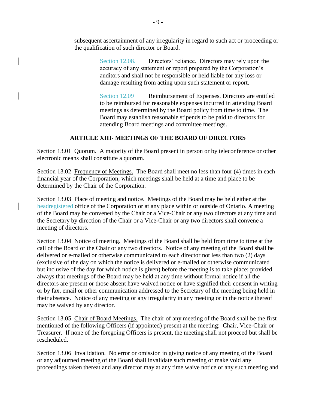subsequent ascertainment of any irregularity in regard to such act or proceeding or the qualification of such director or Board.

> Section 12.08. Directors' reliance. Directors may rely upon the accuracy of any statement or report prepared by the Corporation's auditors and shall not be responsible or held liable for any loss or damage resulting from acting upon such statement or report.

Section 12.09 Reimbursement of Expenses. Directors are entitled to be reimbursed for reasonable expenses incurred in attending Board meetings as determined by the Board policy from time to time. The Board may establish reasonable stipends to be paid to directors for attending Board meetings and committee meetings.

### **ARTICLE XIII- MEETINGS OF THE BOARD OF DIRECTORS**

Section 13.01 Quorum. A majority of the Board present in person or by teleconference or other electronic means shall constitute a quorum.

Section 13.02 Frequency of Meetings. The Board shall meet no less than four (4) times in each financial year of the Corporation, which meetings shall be held at a time and place to be determined by the Chair of the Corporation.

Section 13.03 Place of meeting and notice. Meetings of the Board may be held either at the headregistered office of the Corporation or at any place within or outside of Ontario. A meeting of the Board may be convened by the Chair or a Vice-Chair or any two directors at any time and the Secretary by direction of the Chair or a Vice-Chair or any two directors shall convene a meeting of directors.

Section 13.04 Notice of meeting. Meetings of the Board shall be held from time to time at the call of the Board or the Chair or any two directors. Notice of any meeting of the Board shall be delivered or e-mailed or otherwise communicated to each director not less than two (2) days (exclusive of the day on which the notice is delivered or e-mailed or otherwise communicated but inclusive of the day for which notice is given) before the meeting is to take place; provided always that meetings of the Board may be held at any time without formal notice if all the directors are present or those absent have waived notice or have signified their consent in writing or by fax, email or other communication addressed to the Secretary of the meeting being held in their absence. Notice of any meeting or any irregularity in any meeting or in the notice thereof may be waived by any director.

Section 13.05 Chair of Board Meetings. The chair of any meeting of the Board shall be the first mentioned of the following Officers (if appointed) present at the meeting: Chair, Vice-Chair or Treasurer. If none of the foregoing Officers is present, the meeting shall not proceed but shall be rescheduled.

Section 13.06 Invalidation. No error or omission in giving notice of any meeting of the Board or any adjourned meeting of the Board shall invalidate such meeting or make void any proceedings taken thereat and any director may at any time waive notice of any such meeting and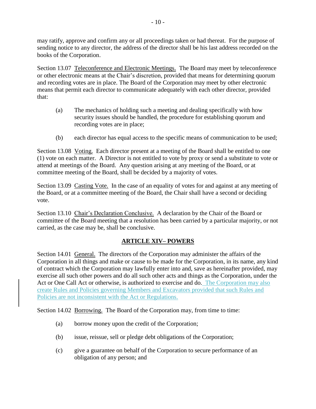may ratify, approve and confirm any or all proceedings taken or had thereat. For the purpose of sending notice to any director, the address of the director shall be his last address recorded on the books of the Corporation.

Section 13.07 Teleconference and Electronic Meetings. The Board may meet by teleconference or other electronic means at the Chair's discretion, provided that means for determining quorum and recording votes are in place. The Board of the Corporation may meet by other electronic means that permit each director to communicate adequately with each other director, provided that:

- (a) The mechanics of holding such a meeting and dealing specifically with how security issues should be handled, the procedure for establishing quorum and recording votes are in place;
- (b) each director has equal access to the specific means of communication to be used;

Section 13.08 Voting. Each director present at a meeting of the Board shall be entitled to one (1) vote on each matter. A Director is not entitled to vote by proxy or send a substitute to vote or attend at meetings of the Board. Any question arising at any meeting of the Board, or at committee meeting of the Board, shall be decided by a majority of votes.

Section 13.09 Casting Vote. In the case of an equality of votes for and against at any meeting of the Board, or at a committee meeting of the Board, the Chair shall have a second or deciding vote.

Section 13.10 Chair's Declaration Conclusive. A declaration by the Chair of the Board or committee of the Board meeting that a resolution has been carried by a particular majority, or not carried, as the case may be, shall be conclusive.

## **ARTICLE XIV– POWERS**

Section 14.01 General. The directors of the Corporation may administer the affairs of the Corporation in all things and make or cause to be made for the Corporation, in its name, any kind of contract which the Corporation may lawfully enter into and, save as hereinafter provided, may exercise all such other powers and do all such other acts and things as the Corporation, under the Act or One Call Act or otherwise, is authorized to exercise and do. The Corporation may also create Rules and Policies governing Members and Excavators provided that such Rules and Policies are not inconsistent with the Act or Regulations.

Section 14.02 Borrowing. The Board of the Corporation may, from time to time:

- (a) borrow money upon the credit of the Corporation;
- (b) issue, reissue, sell or pledge debt obligations of the Corporation;
- (c) give a guarantee on behalf of the Corporation to secure performance of an obligation of any person; and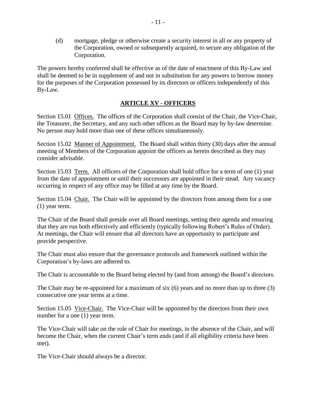(d) mortgage, pledge or otherwise create a security interest in all or any property of the Corporation, owned or subsequently acquired, to secure any obligation of the Corporation.

The powers hereby conferred shall be effective as of the date of enactment of this By-Law and shall be deemed to be in supplement of and not in substitution for any powers to borrow money for the purposes of the Corporation possessed by its directors or officers independently of this By-Law.

#### **ARTICLE XV - OFFICERS**

Section 15.01 Offices. The offices of the Corporation shall consist of the Chair, the Vice-Chair, the Treasurer, the Secretary, and any such other offices as the Board may by by-law determine. No person may hold more than one of these offices simultaneously.

Section 15.02 Manner of Appointment. The Board shall within thirty (30) days after the annual meeting of Members of the Corporation appoint the officers as herein described as they may consider advisable.

Section 15.03 Term. All officers of the Corporation shall hold office for a term of one (1) year from the date of appointment or until their successors are appointed in their stead. Any vacancy occurring in respect of any office may be filled at any time by the Board.

Section 15.04 Chair. The Chair will be appointed by the directors from among them for a one (1) year term.

The Chair of the Board shall preside over all Board meetings, setting their agenda and ensuring that they are run both effectively and efficiently (typically following Robert's Rules of Order). At meetings, the Chair will ensure that all directors have an opportunity to participate and provide perspective.

The Chair must also ensure that the governance protocols and framework outlined within the Corporation's by-laws are adhered to.

The Chair is accountable to the Board being elected by (and from among) the Board's directors.

The Chair may be re-appointed for a maximum of six (6) years and no more than up to three (3) consecutive one year terms at a time.

Section 15.05 Vice-Chair. The Vice-Chair will be appointed by the directors from their own number for a one  $(1)$  year term.

The Vice-Chair will take on the role of Chair for meetings, in the absence of the Chair, and will become the Chair, when the current Chair's term ends (and if all eligibility criteria have been met).

The Vice-Chair should always be a director.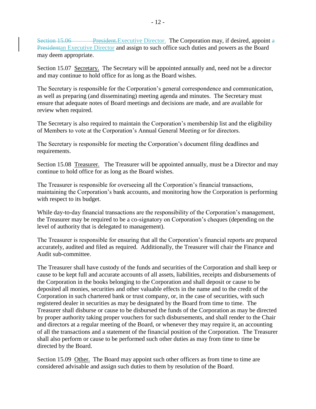Section 15.06 President.Executive Director. The Corporation may, if desired, appoint a Presidentan Executive Director and assign to such office such duties and powers as the Board may deem appropriate.

Section 15.07 Secretary. The Secretary will be appointed annually and, need not be a director and may continue to hold office for as long as the Board wishes.

The Secretary is responsible for the Corporation's general correspondence and communication, as well as preparing (and disseminating) meeting agenda and minutes. The Secretary must ensure that adequate notes of Board meetings and decisions are made, and are available for review when required.

The Secretary is also required to maintain the Corporation's membership list and the eligibility of Members to vote at the Corporation's Annual General Meeting or for directors.

The Secretary is responsible for meeting the Corporation's document filing deadlines and requirements.

Section 15.08 Treasurer. The Treasurer will be appointed annually, must be a Director and may continue to hold office for as long as the Board wishes.

The Treasurer is responsible for overseeing all the Corporation's financial transactions, maintaining the Corporation's bank accounts, and monitoring how the Corporation is performing with respect to its budget.

While day-to-day financial transactions are the responsibility of the Corporation's management, the Treasurer may be required to be a co-signatory on Corporation's cheques (depending on the level of authority that is delegated to management).

The Treasurer is responsible for ensuring that all the Corporation's financial reports are prepared accurately, audited and filed as required. Additionally, the Treasurer will chair the Finance and Audit sub-committee.

The Treasurer shall have custody of the funds and securities of the Corporation and shall keep or cause to be kept full and accurate accounts of all assets, liabilities, receipts and disbursements of the Corporation in the books belonging to the Corporation and shall deposit or cause to be deposited all monies, securities and other valuable effects in the name and to the credit of the Corporation in such chartered bank or trust company, or, in the case of securities, with such registered dealer in securities as may be designated by the Board from time to time. The Treasurer shall disburse or cause to be disbursed the funds of the Corporation as may be directed by proper authority taking proper vouchers for such disbursements, and shall render to the Chair and directors at a regular meeting of the Board, or whenever they may require it, an accounting of all the transactions and a statement of the financial position of the Corporation. The Treasurer shall also perform or cause to be performed such other duties as may from time to time be directed by the Board.

Section 15.09 Other. The Board may appoint such other officers as from time to time are considered advisable and assign such duties to them by resolution of the Board.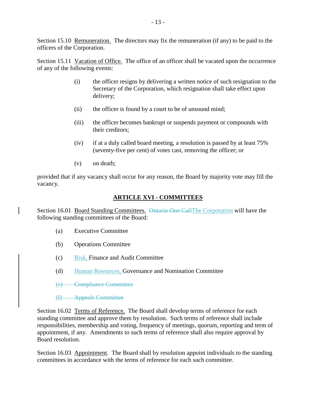Section 15.10 Remuneration. The directors may fix the remuneration (if any) to be paid to the officers of the Corporation.

Section 15.11 Vacation of Office. The office of an officer shall be vacated upon the occurrence of any of the following events:

- (i) the officer resigns by delivering a written notice of such resignation to the Secretary of the Corporation, which resignation shall take effect upon delivery;
- (ii) the officer is found by a court to be of unsound mind;
- (iii) the officer becomes bankrupt or suspends payment or compounds with their creditors;
- (iv) if at a duly called board meeting, a resolution is passed by at least 75% (seventy-five per cent) of votes cast, removing the officer; or
- (v) on death;

provided that if any vacancy shall occur for any reason, the Board by majority vote may fill the vacancy.

# **ARTICLE XVI - COMMITTEES**

Section 16.01 Board Standing Committees. Ontario One Call The Corporation will have the following standing committees of the Board:

- (a) Executive Committee
- (b) Operations Committee
- (c) Risk, Finance and Audit Committee
- (d) Human Resources, Governance and Nomination Committee
- (e) Compliance Committee
- (f) Appeals Committee

Section 16.02 Terms of Reference. The Board shall develop terms of reference for each standing committee and approve them by resolution. Such terms of reference shall include responsibilities, membership and voting, frequency of meetings, quorum, reporting and term of appointment, if any. Amendments to such terms of reference shall also require approval by Board resolution.

Section 16.03 Appointment. The Board shall by resolution appoint individuals to the standing committees in accordance with the terms of reference for each such committee.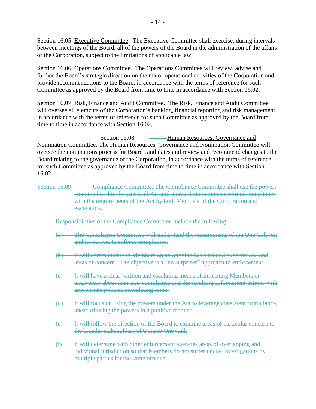Section 16.05 Executive Committee. The Executive Committee shall exercise, during intervals between meetings of the Board, all of the powers of the Board in the administration of the affairs of the Corporation, subject to the limitations of applicable law.

Section 16.06 Operations Committee. The Operations Committee will review, advise and further the Board's strategic direction on the major operational activities of the Corporation and provide recommendations to the Board, in accordance with the terms of reference for such Committee as approved by the Board from time to time in accordance with Section 16.02.

Section 16.07 Risk, Finance and Audit Committee. The Risk, Finance and Audit Committee will oversee all elements of the Corporation's banking, financial reporting and risk management, in accordance with the terms of reference for such Committee as approved by the Board from time to time in accordance with Section 16.02.

Section 16.08 – Human Resources, Governance and Nomination Committee. The Human Resources, Governance and Nomination Committee will oversee the nominations process for Board candidates and review and recommend changes to the Board relating to the governance of the Corporation, in accordance with the terms of reference for such Committee as approved by the Board from time to time in accordance with Section 16.02.

Section 16.09 Compliance Committee. The Compliance Committee shall use the powers contained within the One Call Act and its regulations to ensure broad compliance with the requirements of the Act by both Members of the Corporation and excavators.

Responsibilities of the Compliance Committee include the following:

- (a) The Compliance Committee will understand the requirements of the One Call Act and its powers to enforce compliance.
- (b) It will communicate to Members on an ongoing basis around expectations and areas of concern. The objective is a "no surprises" approach to enforcement.
- (c) It will have a clear, written and escalating means of informing Members or excavators about their non-compliance and the resulting enforcement actions with appropriate policies articulating same.
- (d) It will focus on using the powers under the Act to leverage consistent compliance, ahead of using the powers in a punitive manner.
- (e) It will follow the direction of the Board to examine areas of particular concern to the broader stakeholders of Ontario One Call.
- (f) It will determine with other enforcement agencies areas of overlapping and individual jurisdiction so that Members do not suffer undue investigations by multiple parties for the same offence.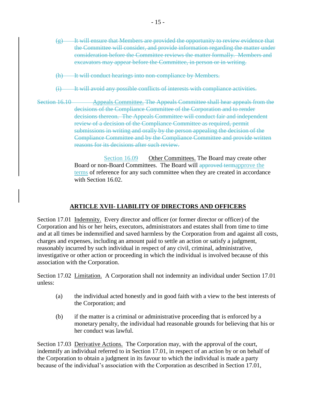- $(e)$  It will ensure that Members are provided the opportunity to review evidence that the Committee will consider, and provide information regarding the matter under consideration before the Committee reviews the matter formally. Members and excavators may appear before the Committee, in person or in writing.
- (h) It will conduct hearings into non-compliance by Members.
- (i) It will avoid any possible conflicts of interests with compliance activities.
- Section 16.10 Appeals Committee. The Appeals Committee shall hear appeals from the decisions of the Compliance Committee of the Corporation and to render decisions thereon. The Appeals Committee will conduct fair and independent review of a decision of the Compliance Committee as required, permit submissions in writing and orally by the person appealing the decision of the Compliance Committee and by the Compliance Committee and provide written reasons for its decisions after such review.

Section 16.09 Other Committees. The Board may create other Board or non-Board Committees. The Board will approved termapprove the terms of reference for any such committee when they are created in accordance with Section 16.02.

#### **ARTICLE XVII- LIABILITY OF DIRECTORS AND OFFICERS**

Section 17.01 Indemnity. Every director and officer (or former director or officer) of the Corporation and his or her heirs, executors, administrators and estates shall from time to time and at all times be indemnified and saved harmless by the Corporation from and against all costs, charges and expenses, including an amount paid to settle an action or satisfy a judgment, reasonably incurred by such individual in respect of any civil, criminal, administrative, investigative or other action or proceeding in which the individual is involved because of this association with the Corporation.

Section 17.02 Limitation. A Corporation shall not indemnity an individual under Section 17.01 unless:

- (a) the individual acted honestly and in good faith with a view to the best interests of the Corporation; and
- (b) if the matter is a criminal or administrative proceeding that is enforced by a monetary penalty, the individual had reasonable grounds for believing that his or her conduct was lawful.

Section 17.03 Derivative Actions. The Corporation may, with the approval of the court, indemnify an individual referred to in Section 17.01, in respect of an action by or on behalf of the Corporation to obtain a judgment in its favour to which the individual is made a party because of the individual's association with the Corporation as described in Section 17.01,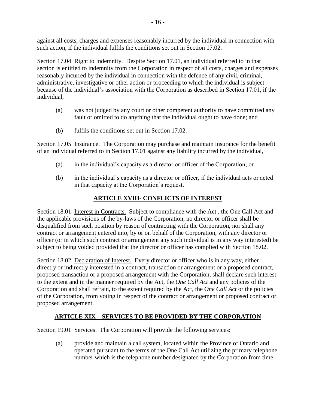against all costs, charges and expenses reasonably incurred by the individual in connection with such action, if the individual fulfils the conditions set out in Section 17.02.

Section 17.04 Right to Indemnity. Despite Section 17.01, an individual referred to in that section is entitled to indemnity from the Corporation in respect of all costs, charges and expenses reasonably incurred by the individual in connection with the defence of any civil, criminal, administrative, investigative or other action or proceeding to which the individual is subject because of the individual's association with the Corporation as described in Section 17.01, if the individual,

- (a) was not judged by any court or other competent authority to have committed any fault or omitted to do anything that the individual ought to have done; and
- (b) fulfils the conditions set out in Section 17.02.

Section 17.05 Insurance. The Corporation may purchase and maintain insurance for the benefit of an individual referred to in Section 17.01 against any liability incurred by the individual,

- (a) in the individual's capacity as a director or officer of the Corporation; or
- (b) in the individual's capacity as a director or officer, if the individual acts or acted in that capacity at the Corporation's request.

## **ARTICLE XVIII- CONFLICTS OF INTEREST**

Section 18.01 Interest in Contracts. Subject to compliance with the Act , the One Call Act and the applicable provisions of the by-laws of the Corporation, no director or officer shall be disqualified from such position by reason of contracting with the Corporation, nor shall any contract or arrangement entered into, by or on behalf of the Corporation, with any director or officer (or in which such contract or arrangement any such individual is in any way interested) be subject to being voided provided that the director or officer has complied with [Section 18.02.](#page-19-0)

<span id="page-19-0"></span>Section 18.02 Declaration of Interest. Every director or officer who is in any way, either directly or indirectly interested in a contract, transaction or arrangement or a proposed contract, proposed transaction or a proposed arrangement with the Corporation, shall declare such interest to the extent and in the manner required by the Act, the *One Call Act* and any policies of the Corporation and shall refrain, to the extent required by the Act*,* the *One Call Act* or the policies of the Corporation, from voting in respect of the contract or arrangement or proposed contract or proposed arrangement.

# **ARTICLE XIX – SERVICES TO BE PROVIDED BY THE CORPORATION**

Section 19.01 Services. The Corporation will provide the following services:

(a) provide and maintain a call system, located within the Province of Ontario and operated pursuant to the terms of the One Call Act utilizing the primary telephone number which is the telephone number designated by the Corporation from time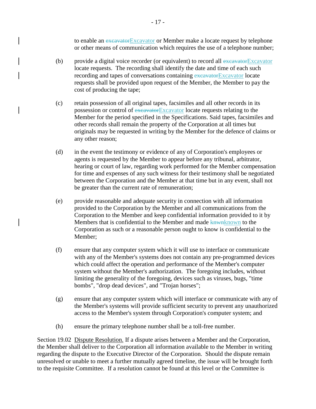to enable an excavatorExcavator or Member make a locate request by telephone or other means of communication which requires the use of a telephone number;

- (b) provide a digital voice recorder (or equivalent) to record all  $\frac{ex\text{cavator}}{ex\text{cavator}}$ locate requests. The recording shall identify the date and time of each such recording and tapes of conversations containing excavatorExcavator locate requests shall be provided upon request of the Member, the Member to pay the cost of producing the tape;
- (c) retain possession of all original tapes, facsimiles and all other records in its possession or control of excavatorExcavator locate requests relating to the Member for the period specified in the Specifications. Said tapes, facsimiles and other records shall remain the property of the Corporation at all times but originals may be requested in writing by the Member for the defence of claims or any other reason;
- (d) in the event the testimony or evidence of any of Corporation's employees or agents is requested by the Member to appear before any tribunal, arbitrator, hearing or court of law, regarding work performed for the Member compensation for time and expenses of any such witness for their testimony shall be negotiated between the Corporation and the Member at that time but in any event, shall not be greater than the current rate of remuneration;
- (e) provide reasonable and adequate security in connection with all information provided to the Corporation by the Member and all communications from the Corporation to the Member and keep confidential information provided to it by Members that is confidential to the Member and made knwnknown to the Corporation as such or a reasonable person ought to know is confidential to the Member;
- (f) ensure that any computer system which it will use to interface or communicate with any of the Member's systems does not contain any pre-programmed devices which could affect the operation and performance of the Member's computer system without the Member's authorization. The foregoing includes, without limiting the generality of the foregoing, devices such as viruses, bugs, "time bombs", "drop dead devices", and "Trojan horses";
- (g) ensure that any computer system which will interface or communicate with any of the Member's systems will provide sufficient security to prevent any unauthorized access to the Member's system through Corporation's computer system; and
- (h) ensure the primary telephone number shall be a toll-free number.

Section 19.02 Dispute Resolution. If a dispute arises between a Member and the Corporation, the Member shall deliver to the Corporation all information available to the Member in writing regarding the dispute to the Executive Director of the Corporation. Should the dispute remain unresolved or unable to meet a further mutually agreed timeline, the issue will be brought forth to the requisite Committee. If a resolution cannot be found at this level or the Committee is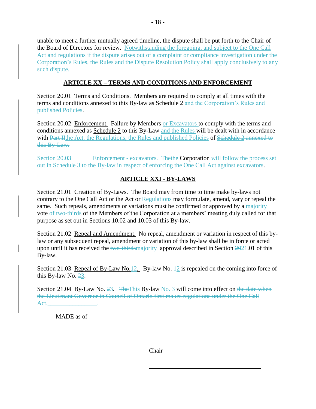unable to meet a further mutually agreed timeline, the dispute shall be put forth to the Chair of the Board of Directors for review. Notwithstanding the foregoing, and subject to the One Call Act and regulations if the dispute arises out of a complaint or compliance investigation under the Corporation's Rules, the Rules and the Dispute Resolution Policy shall apply conclusively to any such dispute.

## **ARTICLE XX – TERMS AND CONDITIONS AND ENFORCEMENT**

Section 20.01 Terms and Conditions. Members are required to comply at all times with the terms and conditions annexed to this By-law as Schedule 2 and the Corporation's Rules and published Policies.

Section 20.02 Enforcement. Failure by Members or Excavators to comply with the terms and conditions annexed as Schedule 2 to this By-Law and the Rules will be dealt with in accordance with Part Hthe Act, the Regulations, the Rules and published Policies of Schedule 2 annexed to this By-Law.

Section 20.03 Enforcement - excavators. The the Corporation will follow the process set out in Schedule 3 to the By-law in respect of enforcing the One Call Act against excavators.

## **ARTICLE XXI - BY-LAWS**

Section 21.01 Creation of By-Laws. The Board may from time to time make by-laws not contrary to the One Call Act or the Act or Regulations may formulate, amend, vary or repeal the same. Such repeals, amendments or variations must be confirmed or approved by a majority vote of two-thirds of the Members of the Corporation at a members' meeting duly called for that purpose as set out in Sections 10.02 and 10.03 of this By-law.

Section 21.02 Repeal and Amendment. No repeal, amendment or variation in respect of this bylaw or any subsequent repeal, amendment or variation of this by-law shall be in force or acted upon until it has received the two-thirdsmajority approval described in Section 2021.01 of this By-law.

Section 21.03 Repeal of By-Law No. $\frac{12}{2}$ . By-law No.  $\frac{12}{2}$  is repealed on the coming into force of this By-law No.  $23$ .

Section 21.04 By-Law No.  $\frac{23}{10}$ . The This By-law No. 3 will come into effect on the date when the Lieutenant Governor in Council of Ontario first makes regulations under the One Call Act.\_\_\_\_\_\_\_\_\_\_\_\_\_\_\_\_.

MADE as of

Chair